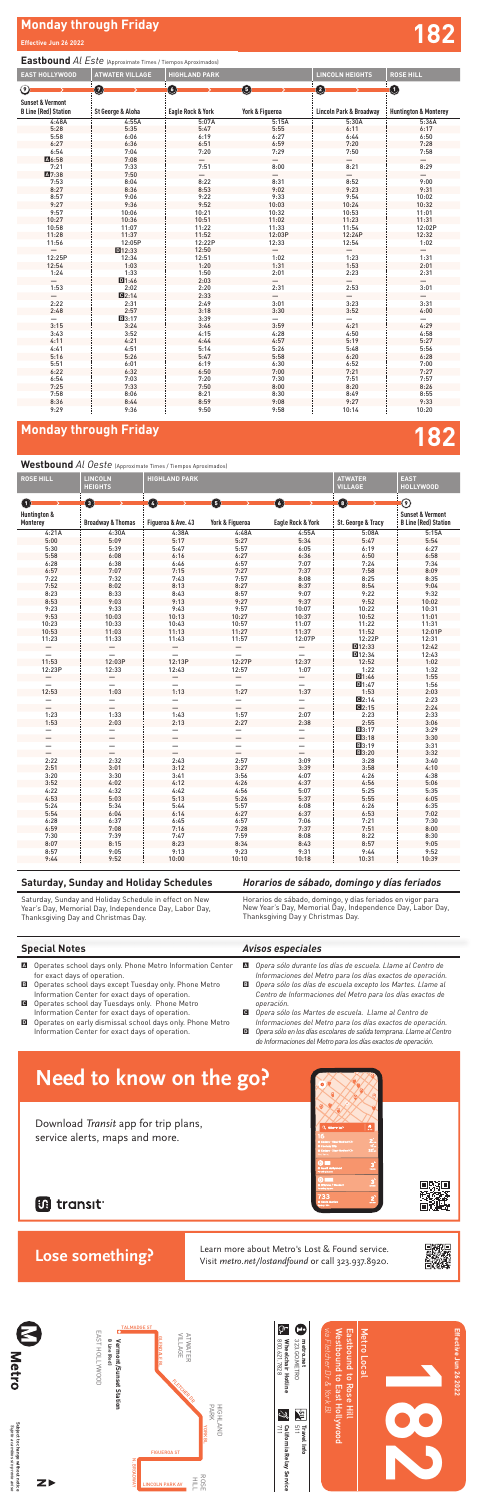

**Effective Jun 26 2022**

Effective Jun 26 2022

**182** 

# **Monday through Friday 182**

### *Horarios de sábado, domingo y días feriados*

Horarios de sábado, domingo, y días feriados en vigor para New Year's Day, Memorial Day, Independence Day, Labor Day, Thanksgiving Day y Christmas Day*.*

## **Saturday, Sunday and Holiday Schedules**

Saturday, Sunday and Holiday Schedule in effect on New Year's Day, Memorial Day, Independence Day, Labor Day, Thanksgiving Day and Christmas Day.

- **A** Operates school days only. Phone Metro Information Center for exact days of operation.
- **B** Operates school days except Tuesday only. Phone Metro Information Center for exact days of operation.
- C Operates school day Tuesdays only. Phone Metro operates schoot day Tuesdays only. Phone Mer<br>Information Center for exact days of operation.
- D Operates on early dismissal school days only. Phone Metro Information Center for exact days of operation.

## *Avisos especiales*

- A *Opera sólo durante los días de escuela. Llame al Centro de Informaciones del Metro para los días exactos de operación.*
- B *Opera sólo los días de escuela excepto los Martes. Llame al Centro de Informaciones del Metro para los días exactos de operación.*
- C *Opera sólo los Martes de escuela. Llame al Centro de Informaciones del Metro para los días exactos de operación.*
- D *Opera sólo en los días escolares de salida temprana. Llame al Centro de Informaciones del Metro para los días exactos de operación.*

# **Monday through Friday and Security Conduct of the Security Conduct of the Security Conduct of the Security Conduct of the Security Conduct of the Security Conduct of the Security Conduct of the Security Conduct of the Sec**

## **Eastbound** *Al Este* (Approximate Times / Tiempos Aproximados)

**Need to know on the go?** Learn more about Metro's Lost & Found service.<br>Visit metro.net/lostandfound or call 323.937.8920.



### **Westbound** *Al Oeste* (Approximate Times / Tiempos Aproximados)

| <b>EAST HOLLYWOOD</b>                                      | <b>ATWATER VILLAGE</b> | <b>HIGHLAND PARK</b>         |                 | <b>LINCOLN HEIGHTS</b>  | <b>ROSE HILL</b>                 |
|------------------------------------------------------------|------------------------|------------------------------|-----------------|-------------------------|----------------------------------|
| ⊚                                                          | 0                      | O                            | 6               | 0                       | $\bullet$                        |
|                                                            |                        |                              |                 |                         |                                  |
| <b>Sunset &amp; Vermont</b><br><b>B Line (Red) Station</b> | St George & Aloha      | <b>Eagle Rock &amp; York</b> | York & Figueroa | Lincoln Park & Broadway | <b>Huntington &amp; Monterey</b> |
| 4:48A                                                      | 4:55A                  | 5:07A                        | 5:15A           | 5:30A                   | 5:36A                            |
| 5:28                                                       | 5:35                   | 5:47                         | 5:55            | 6:11                    | 6:17                             |
| 5:58                                                       | 6:06                   | 6:19                         | 6:27            | 6:44                    | 6:50                             |
| 6:27                                                       | 6:36                   | 6:51                         | 6:59            | 7:20                    | 7:28                             |
| 6:54                                                       | 7:04                   | 7:20                         | 7:29            | 7:50                    | 7:58                             |
| A6:58                                                      | 7:08                   |                              |                 |                         |                                  |
| 7:21                                                       | 7:33                   | 7:51                         | 8:00            | 8:21                    | 8:29                             |
| A7:38                                                      | 7:50                   |                              |                 |                         |                                  |
| 7:53                                                       | 8:04                   | 8:22                         | 8:31            | 8:52                    | 9:00                             |
| 8:27                                                       | 8:36                   | 8:53                         | 9:02            | 9:23                    | 9:31                             |
| 8:57                                                       | 9:06                   | 9:22                         | 9:33            | 9:54                    | 10:02                            |
| 9:27                                                       | 9:36                   | 9:52                         | 10:03           | 10:24                   | 10:32                            |
| 9:57                                                       | 10:06                  | 10:21                        | 10:32           | 10:53                   | 11:01                            |
| 10:27                                                      | 10:36                  | 10:51                        | 11:02           | 11:23                   | 11:31                            |
| 10:58                                                      | 11:07                  | 11:22                        | 11:33           | 11:54                   | 12:02P                           |
| 11:28                                                      | 11:37                  | 11:52                        | 12:03P          | 12:24P                  | 12:32                            |
| 11:56                                                      | 12:05P                 | 12:22P                       | 12:33           | 12:54                   | 1:02                             |
|                                                            | D12:33                 | 12:50                        | —               |                         |                                  |
| 12:25P                                                     | 12:34                  | 12:51                        | 1:02            | 1:23                    | 1:31                             |
| 12:54                                                      | 1:03                   | 1:20                         | 1:31            | 1:53                    | 2:01                             |
| 1:24                                                       | 1:33                   | 1:50                         | 2:01            | 2:23                    | 2:31                             |
|                                                            | D1:46                  | 2:03                         |                 |                         |                                  |
| 1:53                                                       | 2:02                   | 2:20                         | 2:31            | 2:53                    | 3:01                             |
|                                                            | C2:14                  | 2:33                         |                 |                         |                                  |
| 2:22                                                       | 2:31                   | 2:49                         | 3:01            | 3:23                    | 3:31                             |
| 2:48                                                       | 2:57                   | 3:18                         | 3:30            | 3:52                    | 4:00                             |
|                                                            | <b>B</b> 3:17          | 3:39                         |                 |                         |                                  |
| 3:15                                                       | 3:24                   | 3:46                         | 3:59            | 4:21                    | 4:29                             |
| 3:43                                                       | 3:52                   | 4:15                         | 4:28            | 4:50                    | 4:58                             |
| 4:11                                                       | 4:21                   | 4:44                         | 4:57            | 5:19                    | 5:27                             |
| 4:41                                                       | 4:51                   | 5:14                         | 5:26            | 5:48                    | 5:56                             |
| 5:16                                                       | 5:26                   | 5:47                         | 5:58            | 6:20                    | 6:28                             |
| 5:51                                                       | 6:01                   | 6:19                         | 6:30            | 6:52                    | 7:00                             |
| 6:22                                                       | 6:32                   | 6:50                         | 7:00            | 7:21                    | 7:27                             |
| 6:54                                                       | 7:03                   | 7:20                         | 7:30            | 7:51                    | 7:57                             |
| 7:25                                                       | 7:33                   | 7:50                         | 8:00            | 8:20                    | 8:26                             |
| 7:58                                                       | 8:06                   | 8:21                         | 8:30            | 8:49                    | 8:55                             |
| 8:36                                                       | 8:44                   | 8:59                         | 9:08            | 9:27                    | 9:33                             |
| 9:29                                                       | 9:36                   | 9:50                         | 9:58            | 10:14                   | 10:20                            |

# **Special Notes Lose something?**

| <b>ROSE HILL</b>                    | <b>LINCOLN</b><br><b>HEIGHTS</b> | <b>HIGHLAND PARK</b>     |                          |                          | <b>ATWATER</b><br><b>VILLAGE</b> | <b>EAST</b><br><b>HOLLYWOOD</b>                            |
|-------------------------------------|----------------------------------|--------------------------|--------------------------|--------------------------|----------------------------------|------------------------------------------------------------|
| $\blacksquare$                      | 0                                | Ø                        | O                        | O                        | O                                | $\odot$                                                    |
| <b>Huntington &amp;</b><br>Monterey | <b>Broadway &amp; Thomas</b>     | Figueroa & Ave. 43       | York & Figueroa          | Eagle Rock & York        | St. George & Tracy               | <b>Sunset &amp; Vermont</b><br><b>B Line (Red) Station</b> |
| 4:21A                               | 4:30A                            | 4:38A                    | 4:48A                    | 4:55A                    | 5:08A                            | 5:15A                                                      |
| 5:00                                | 5:09                             | 5:17                     | 5:27                     | 5:34                     | 5:47                             | 5:54                                                       |
| 5:30                                | 5:39                             | 5:47                     | 5:57                     | 6:05                     | 6:19                             | 6:27                                                       |
| 5:58                                | 6:08                             | 6:16                     | 6:27                     | 6:36                     | 6:50                             | 6:58                                                       |
| 6:28                                | 6:38                             | 6:46                     | 6:57                     | 7:07                     | 7:24                             | 7:34                                                       |
| 6:57                                | 7:07                             | 7:15                     | 7:27                     | 7:37                     | 7:58                             | 8:09                                                       |
| 7:22                                | 7:32                             | 7:43                     | 7:57                     | 8:08                     | 8:25                             | 8:35                                                       |
| 7:52                                | 8:02                             | 8:13                     | 8:27                     | 8:37                     | 8:54                             | 9:04                                                       |
| 8:23                                | 8:33                             | 8:43                     | 8:57                     | 9:07                     | 9:22                             | 9:32                                                       |
| 8:53                                | 9:03                             | 9:13                     | 9:27                     | 9:37                     | 9:52                             | 10:02                                                      |
| 9:23                                | 9:33                             | 9:43                     | 9:57                     | 10:07                    | 10:22                            | 10:31                                                      |
| 9:53                                | 10:03                            | 10:13                    | 10:27                    | 10:37                    | 10:52                            | 11:01                                                      |
| 10:23                               | 10:33                            | 10:43                    | 10:57                    | 11:07                    | 11:22                            | 11:31                                                      |
| 10:53                               | 11:03                            | 11:13                    | 11:27                    | 11:37                    | 11:52                            | 12:01P                                                     |
| 11:23                               | 11:33                            | 11:43                    | 11:57                    | 12:07P                   | 12:22P                           | 12:31                                                      |
|                                     |                                  |                          | —                        | —                        | $\Pi$ 12:33                      | 12:42                                                      |
| $\overline{\phantom{0}}$            | -                                |                          | $\overline{\phantom{0}}$ | $\overline{\phantom{0}}$ | D12:34                           | 12:43                                                      |
| 11:53                               | 12:03P                           | 12:13P                   | 12:27P                   | 12:37                    | 12:52                            | 1:02                                                       |
| 12:23P                              | 12:33                            | 12:43                    | 12:57                    | 1:07                     | 1:22                             | 1:32                                                       |
|                                     |                                  |                          |                          |                          | D1:46                            | 1:55                                                       |
| $\overline{\phantom{0}}$            | $\overline{\phantom{0}}$         | $\overline{\phantom{0}}$ | —                        |                          | D1:47                            | 1:56                                                       |
| 12:53                               | 1:03                             | 1:13                     | 1:27                     | 1:37                     | 1:53                             | 2:03                                                       |
|                                     | —                                |                          |                          | —                        | Q2:14                            | 2:23                                                       |
|                                     |                                  |                          |                          | $\equiv$                 | Q2:15                            | 2:24                                                       |
| 1:23                                | 1:33                             | 1:43                     | 1:57                     | 2:07                     | 2:23                             | 2:33                                                       |
| 1:53                                | 2:03                             | 2:13                     | 2:27                     | 2:38                     | 2:55                             | 3:06                                                       |
| $\qquad \qquad$                     | —                                | —                        | $\overline{\phantom{0}}$ | —                        | B3:17                            | 3:29                                                       |
| $\overline{\phantom{0}}$            | $\overline{\phantom{0}}$         |                          | $\overline{\phantom{0}}$ | $\overline{\phantom{0}}$ | B3:18                            | 3:30                                                       |
|                                     | —                                |                          |                          | —                        | ■3:19                            | 3:31                                                       |
|                                     |                                  |                          |                          | $\overline{\phantom{0}}$ | B3:20                            | 3:32                                                       |
| 2:22                                | 2:32                             | 2:43                     | 2:57                     | 3:09                     | 3:28                             | 3:40                                                       |
| 2:51                                | 3:01                             | 3:12                     | 3:27                     | 3:39                     | 3:58                             | 4:10                                                       |
| 3:20                                | 3:30                             | 3:41                     | 3:56                     | 4:07                     | 4:26                             | 4:38                                                       |
| 3:52                                | 4:02                             | 4:12                     | 4:26                     | 4:37                     | 4:56                             | 5:06                                                       |
| 4:22                                | 4:32                             | 4:42                     | 4:56                     | 5:07                     | 5:25                             | 5:35                                                       |
| 4:53                                | 5:03                             | 5:13                     | 5:26                     | 5:37                     | 5:55                             | 6:05                                                       |
| 5:24                                | 5:34                             | 5:44                     | 5:57                     | 6:08                     | 6:26                             | 6:35                                                       |
| 5:54                                | 6:04                             | 6:14                     | 6:27                     | 6:37                     | 6:53                             | 7:02                                                       |
| 6:28                                | 6:37                             | 6:45                     | 6:57                     | 7:06                     | 7:21                             | 7:30                                                       |
| 6:59                                | 7:08                             | 7:16                     | 7:28                     | 7:37                     | 7:51                             | 8:00                                                       |
| 7:30                                | 7:39                             | 7:47                     | 7:59                     | 8:08                     | 8:22                             | 8:30                                                       |
| 8:07                                | 8:15                             | 8:23                     | 8:34                     | 8:43                     | 8:57                             | 9:05                                                       |
| 0.57                                | 0. OE                            | 0.12                     | 0.22                     | 0.21                     | 0/1                              | 0.52                                                       |

| $- - -$<br>8:57 | 9:05             | $\sim$<br>u.<br>the contract of the contract of | $\sim$<br>ن ے ،    | 9:31       | 9:44  | $\sim$ $\sim$ $\sim$<br>ym.<br>7:34 |  |
|-----------------|------------------|-------------------------------------------------|--------------------|------------|-------|-------------------------------------|--|
| 9:44            | $\Gamma$<br>7:5Z | 10:00                                           | 30.40<br>u:1u<br>. | 10:18<br>. | 10:31 | 10:39                               |  |
|                 |                  |                                                 |                    |            |       |                                     |  |



# **Bi** transit

# **Need to know on the go?** Download Transit app for trip plans, service alerts, maps and more. **Lose something?**